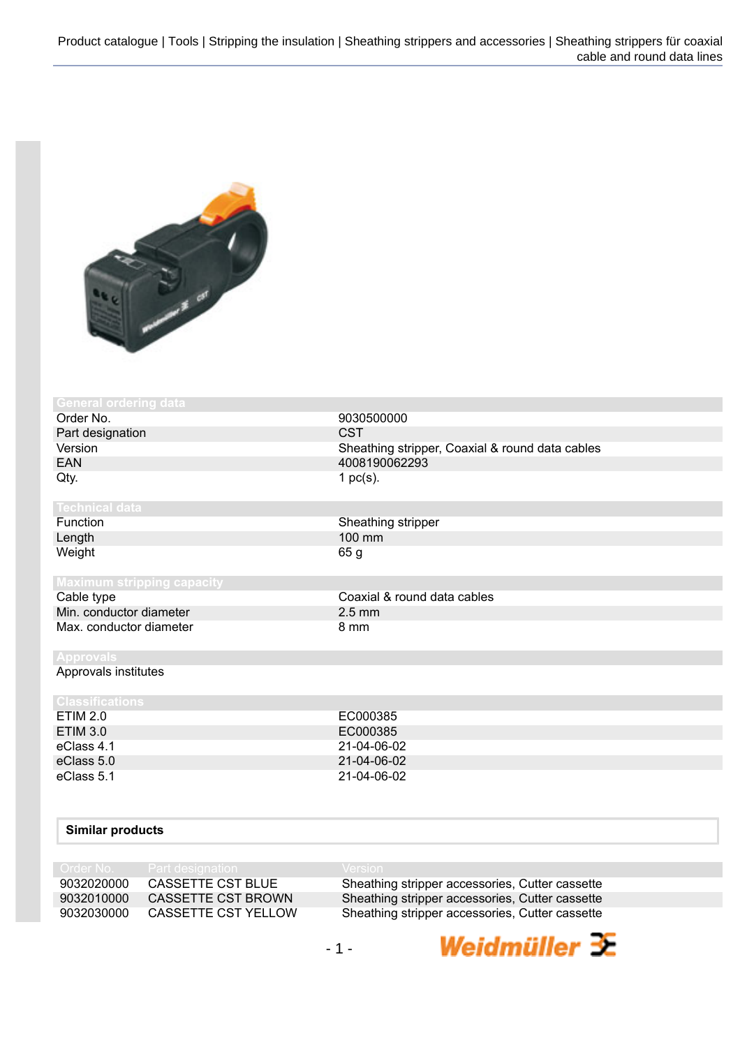

| 9030500000                                      |
|-------------------------------------------------|
| <b>CST</b>                                      |
| Sheathing stripper, Coaxial & round data cables |
| 4008190062293                                   |
| 1 $pc(s)$ .                                     |
|                                                 |
| Sheathing stripper                              |
| 100 mm                                          |
| 65 g                                            |
|                                                 |
|                                                 |
| Coaxial & round data cables                     |
| $2.5 \text{ mm}$                                |
| 8 mm                                            |
|                                                 |
|                                                 |
|                                                 |
|                                                 |
| EC000385                                        |
| EC000385                                        |
|                                                 |

| $L$ in the $L$ . | LUUUUUU     |  |
|------------------|-------------|--|
| ETIM 3.0         | EC000385    |  |
| eClass 4.1       | 21-04-06-02 |  |
| eClass 5.0       | 21-04-06-02 |  |
| eClass 5.1       | 21-04-06-02 |  |
|                  |             |  |

## **Similar products**

|            | Order No. Part designation | $\sqrt{$ Version                                |
|------------|----------------------------|-------------------------------------------------|
| 9032020000 | CASSETTE CST BLUE          | Sheathing stripper accessories, Cutter cassette |
| 9032010000 | <b>CASSETTE CST BROWN</b>  | Sheathing stripper accessories, Cutter cassette |
| 9032030000 | CASSETTE CST YELLOW        | Sheathing stripper accessories, Cutter cassette |

Weidmüller <